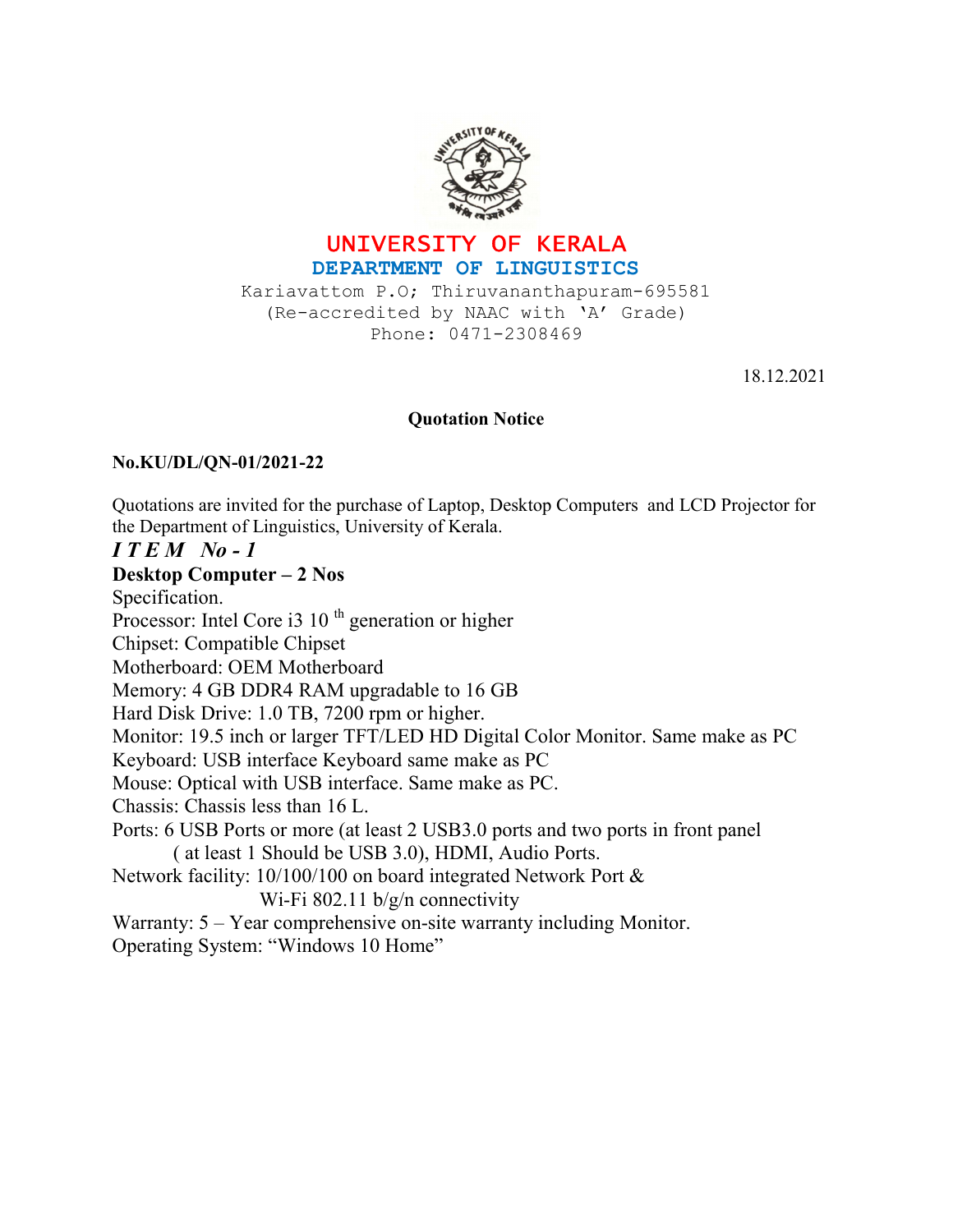



Kariavattom P.O; Thiruvananthapuram-695581 (Re-accredited by NAAC with 'A' Grade) Phone: 0471-2308469

18.12.2021

## Quotation Notice

## No.KU/DL/QN-01/2021-22

Quotations are invited for the purchase of Laptop, Desktop Computers and LCD Projector for the Department of Linguistics, University of Kerala.

## $I T E M N0 - 1$

Desktop Computer – 2 Nos Specification. Processor: Intel Core i3 10<sup>th</sup> generation or higher Chipset: Compatible Chipset Motherboard: OEM Motherboard Memory: 4 GB DDR4 RAM upgradable to 16 GB Hard Disk Drive: 1.0 TB, 7200 rpm or higher. Monitor: 19.5 inch or larger TFT/LED HD Digital Color Monitor. Same make as PC Keyboard: USB interface Keyboard same make as PC Mouse: Optical with USB interface. Same make as PC. Chassis: Chassis less than 16 L. Ports: 6 USB Ports or more (at least 2 USB3.0 ports and two ports in front panel ( at least 1 Should be USB 3.0), HDMI, Audio Ports. Network facility: 10/100/100 on board integrated Network Port & Wi-Fi 802.11 b/g/n connectivity Warranty:  $5 - Y$ ear comprehensive on-site warranty including Monitor. Operating System: "Windows 10 Home"